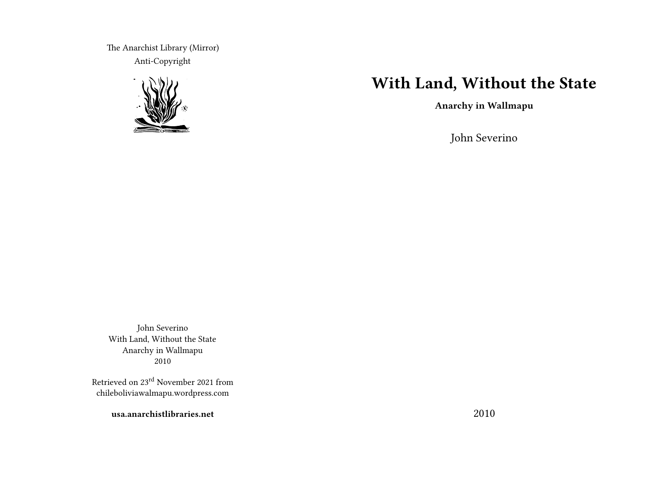The Anarchist Library (Mirror) Anti-Copyright



# **With Land, Without the State**

**Anarchy in Wallmapu**

John Severino

John Severino With Land, Without the State Anarchy in Wallmapu 2010

Retrieved on 23rd November 2021 from chileboliviawalmapu.wordpress.com

**usa.anarchistlibraries.net**

2010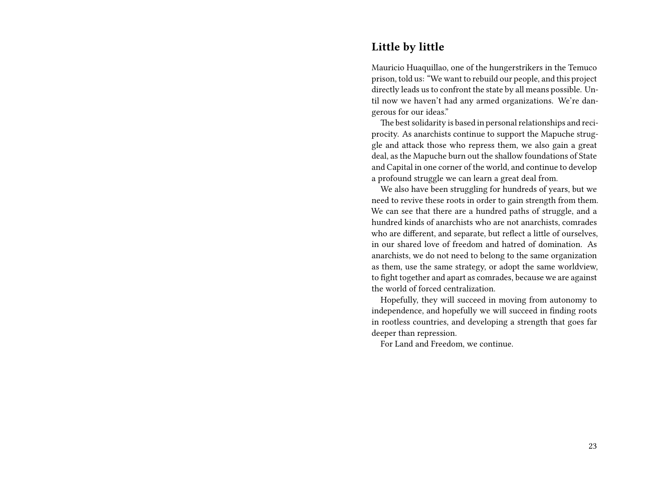#### **Little by little**

Mauricio Huaquillao, one of the hungerstrikers in the Temuco prison, told us: "We want to rebuild our people, and this project directly leads us to confront the state by all means possible. Until now we haven't had any armed organizations. We're dangerous for our ideas."

The best solidarity is based in personal relationships and reciprocity. As anarchists continue to support the Mapuche struggle and attack those who repress them, we also gain a great deal, as the Mapuche burn out the shallow foundations of State and Capital in one corner of the world, and continue to develop a profound struggle we can learn a great deal from.

We also have been struggling for hundreds of years, but we need to revive these roots in order to gain strength from them. We can see that there are a hundred paths of struggle, and a hundred kinds of anarchists who are not anarchists, comrades who are different, and separate, but reflect a little of ourselves, in our shared love of freedom and hatred of domination. As anarchists, we do not need to belong to the same organization as them, use the same strategy, or adopt the same worldview, to fight together and apart as comrades, because we are against the world of forced centralization.

Hopefully, they will succeed in moving from autonomy to independence, and hopefully we will succeed in finding roots in rootless countries, and developing a strength that goes far deeper than repression.

For Land and Freedom, we continue.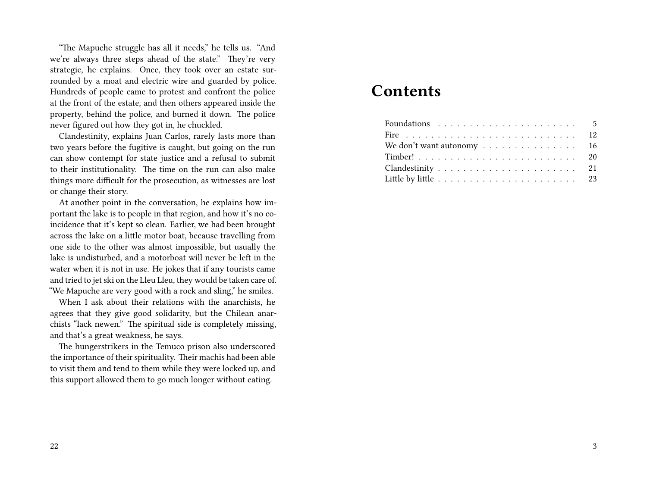"The Mapuche struggle has all it needs," he tells us. "And we're always three steps ahead of the state." They're very strategic, he explains. Once, they took over an estate surrounded by a moat and electric wire and guarded by police. Hundreds of people came to protest and confront the police at the front of the estate, and then others appeared inside the property, behind the police, and burned it down. The police never figured out how they got in, he chuckled.

Clandestinity, explains Juan Carlos, rarely lasts more than two years before the fugitive is caught, but going on the run can show contempt for state justice and a refusal to submit to their institutionality. The time on the run can also make things more difficult for the prosecution, as witnesses are lost or change their story.

At another point in the conversation, he explains how important the lake is to people in that region, and how it's no coincidence that it's kept so clean. Earlier, we had been brought across the lake on a little motor boat, because travelling from one side to the other was almost impossible, but usually the lake is undisturbed, and a motorboat will never be left in the water when it is not in use. He jokes that if any tourists came and tried to jet ski on the Lleu Lleu, they would be taken care of. "We Mapuche are very good with a rock and sling," he smiles.

When I ask about their relations with the anarchists, he agrees that they give good solidarity, but the Chilean anarchists "lack newen." The spiritual side is completely missing, and that's a great weakness, he says.

The hungerstrikers in the Temuco prison also underscored the importance of their spirituality. Their machis had been able to visit them and tend to them while they were locked up, and this support allowed them to go much longer without eating.

# **Contents**

| We don't want autonomy 16 |  |
|---------------------------|--|
|                           |  |
|                           |  |
|                           |  |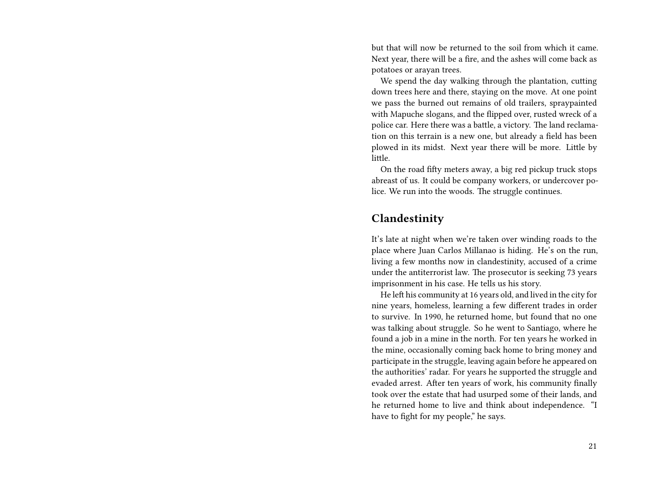but that will now be returned to the soil from which it came. Next year, there will be a fire, and the ashes will come back as potatoes or arayan trees.

We spend the day walking through the plantation, cutting down trees here and there, staying on the move. At one point we pass the burned out remains of old trailers, spraypainted with Mapuche slogans, and the flipped over, rusted wreck of a police car. Here there was a battle, a victory. The land reclamation on this terrain is a new one, but already a field has been plowed in its midst. Next year there will be more. Little by little.

On the road fifty meters away, a big red pickup truck stops abreast of us. It could be company workers, or undercover police. We run into the woods. The struggle continues.

#### **Clandestinity**

It's late at night when we're taken over winding roads to the place where Juan Carlos Millanao is hiding. He's on the run, living a few months now in clandestinity, accused of a crime under the antiterrorist law. The prosecutor is seeking 73 years imprisonment in his case. He tells us his story.

He left his community at 16 years old, and lived in the city for nine years, homeless, learning a few different trades in order to survive. In 1990, he returned home, but found that no one was talking about struggle. So he went to Santiago, where he found a job in a mine in the north. For ten years he worked in the mine, occasionally coming back home to bring money and participate in the struggle, leaving again before he appeared on the authorities' radar. For years he supported the struggle and evaded arrest. After ten years of work, his community finally took over the estate that had usurped some of their lands, and he returned home to live and think about independence. "I have to fight for my people," he says.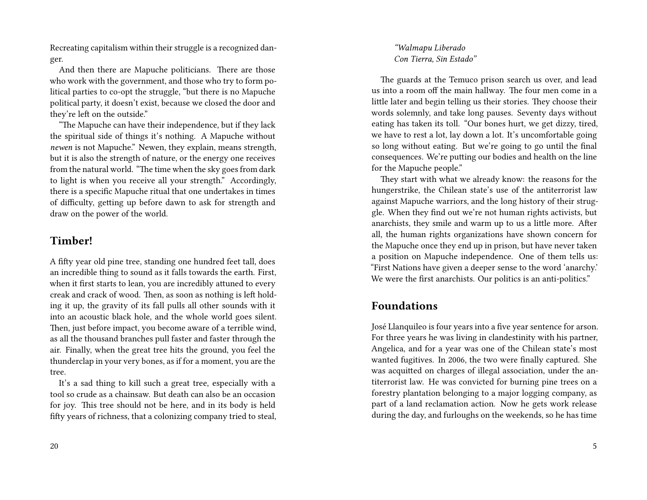Recreating capitalism within their struggle is a recognized danger.

And then there are Mapuche politicians. There are those who work with the government, and those who try to form political parties to co-opt the struggle, "but there is no Mapuche political party, it doesn't exist, because we closed the door and they're left on the outside."

"The Mapuche can have their independence, but if they lack the spiritual side of things it's nothing. A Mapuche without *newen* is not Mapuche." Newen, they explain, means strength, but it is also the strength of nature, or the energy one receives from the natural world. "The time when the sky goes from dark to light is when you receive all your strength." Accordingly, there is a specific Mapuche ritual that one undertakes in times of difficulty, getting up before dawn to ask for strength and draw on the power of the world.

## **Timber!**

A fifty year old pine tree, standing one hundred feet tall, does an incredible thing to sound as it falls towards the earth. First, when it first starts to lean, you are incredibly attuned to every creak and crack of wood. Then, as soon as nothing is left holding it up, the gravity of its fall pulls all other sounds with it into an acoustic black hole, and the whole world goes silent. Then, just before impact, you become aware of a terrible wind, as all the thousand branches pull faster and faster through the air. Finally, when the great tree hits the ground, you feel the thunderclap in your very bones, as if for a moment, you are the tree.

It's a sad thing to kill such a great tree, especially with a tool so crude as a chainsaw. But death can also be an occasion for joy. This tree should not be here, and in its body is held fifty years of richness, that a colonizing company tried to steal,

*"Walmapu Liberado Con Tierra, Sin Estado"*

The guards at the Temuco prison search us over, and lead us into a room off the main hallway. The four men come in a little later and begin telling us their stories. They choose their words solemnly, and take long pauses. Seventy days without eating has taken its toll. "Our bones hurt, we get dizzy, tired, we have to rest a lot, lay down a lot. It's uncomfortable going so long without eating. But we're going to go until the final consequences. We're putting our bodies and health on the line for the Mapuche people."

They start with what we already know: the reasons for the hungerstrike, the Chilean state's use of the antiterrorist law against Mapuche warriors, and the long history of their struggle. When they find out we're not human rights activists, but anarchists, they smile and warm up to us a little more. After all, the human rights organizations have shown concern for the Mapuche once they end up in prison, but have never taken a position on Mapuche independence. One of them tells us: "First Nations have given a deeper sense to the word 'anarchy.' We were the first anarchists. Our politics is an anti-politics."

### **Foundations**

José Llanquileo is four years into a five year sentence for arson. For three years he was living in clandestinity with his partner, Angelica, and for a year was one of the Chilean state's most wanted fugitives. In 2006, the two were finally captured. She was acquitted on charges of illegal association, under the antiterrorist law. He was convicted for burning pine trees on a forestry plantation belonging to a major logging company, as part of a land reclamation action. Now he gets work release during the day, and furloughs on the weekends, so he has time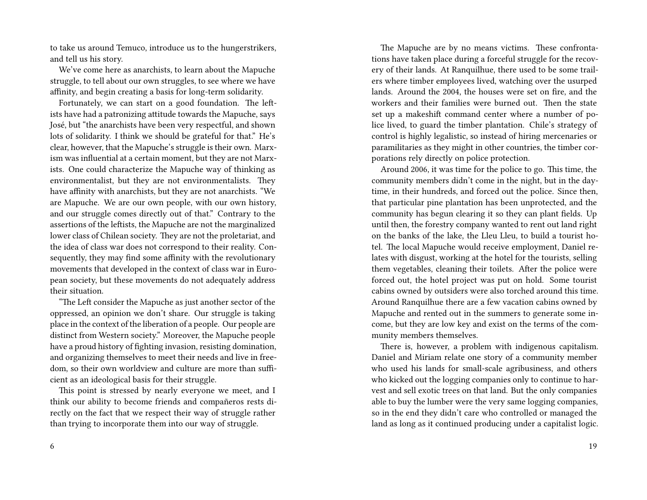to take us around Temuco, introduce us to the hungerstrikers, and tell us his story.

We've come here as anarchists, to learn about the Mapuche struggle, to tell about our own struggles, to see where we have affinity, and begin creating a basis for long-term solidarity.

Fortunately, we can start on a good foundation. The leftists have had a patronizing attitude towards the Mapuche, says José, but "the anarchists have been very respectful, and shown lots of solidarity. I think we should be grateful for that." He's clear, however, that the Mapuche's struggle is their own. Marxism was influential at a certain moment, but they are not Marxists. One could characterize the Mapuche way of thinking as environmentalist, but they are not environmentalists. They have affinity with anarchists, but they are not anarchists. "We are Mapuche. We are our own people, with our own history, and our struggle comes directly out of that." Contrary to the assertions of the leftists, the Mapuche are not the marginalized lower class of Chilean society. They are not the proletariat, and the idea of class war does not correspond to their reality. Consequently, they may find some affinity with the revolutionary movements that developed in the context of class war in European society, but these movements do not adequately address their situation.

"The Left consider the Mapuche as just another sector of the oppressed, an opinion we don't share. Our struggle is taking place in the context of the liberation of a people. Our people are distinct from Western society." Moreover, the Mapuche people have a proud history of fighting invasion, resisting domination, and organizing themselves to meet their needs and live in freedom, so their own worldview and culture are more than sufficient as an ideological basis for their struggle.

This point is stressed by nearly everyone we meet, and I think our ability to become friends and compañeros rests directly on the fact that we respect their way of struggle rather than trying to incorporate them into our way of struggle.

The Mapuche are by no means victims. These confrontations have taken place during a forceful struggle for the recovery of their lands. At Ranquilhue, there used to be some trailers where timber employees lived, watching over the usurped lands. Around the 2004, the houses were set on fire, and the workers and their families were burned out. Then the state set up a makeshift command center where a number of police lived, to guard the timber plantation. Chile's strategy of control is highly legalistic, so instead of hiring mercenaries or paramilitaries as they might in other countries, the timber corporations rely directly on police protection.

Around 2006, it was time for the police to go. This time, the community members didn't come in the night, but in the daytime, in their hundreds, and forced out the police. Since then, that particular pine plantation has been unprotected, and the community has begun clearing it so they can plant fields. Up until then, the forestry company wanted to rent out land right on the banks of the lake, the Lleu Lleu, to build a tourist hotel. The local Mapuche would receive employment, Daniel relates with disgust, working at the hotel for the tourists, selling them vegetables, cleaning their toilets. After the police were forced out, the hotel project was put on hold. Some tourist cabins owned by outsiders were also torched around this time. Around Ranquilhue there are a few vacation cabins owned by Mapuche and rented out in the summers to generate some income, but they are low key and exist on the terms of the community members themselves.

There is, however, a problem with indigenous capitalism. Daniel and Miriam relate one story of a community member who used his lands for small-scale agribusiness, and others who kicked out the logging companies only to continue to harvest and sell exotic trees on that land. But the only companies able to buy the lumber were the very same logging companies, so in the end they didn't care who controlled or managed the land as long as it continued producing under a capitalist logic.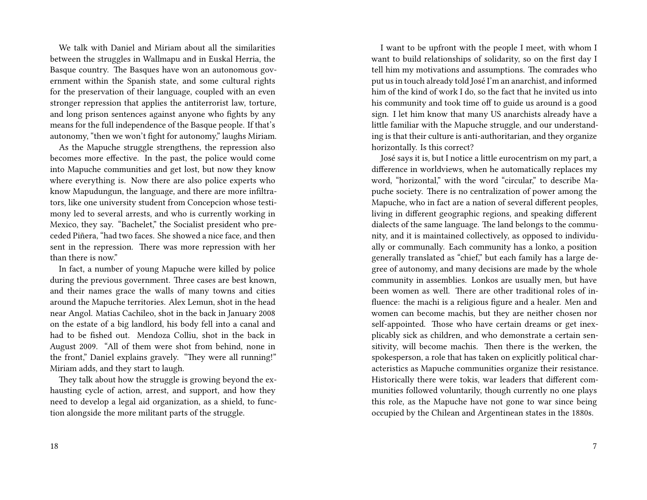We talk with Daniel and Miriam about all the similarities between the struggles in Wallmapu and in Euskal Herria, the Basque country. The Basques have won an autonomous government within the Spanish state, and some cultural rights for the preservation of their language, coupled with an even stronger repression that applies the antiterrorist law, torture, and long prison sentences against anyone who fights by any means for the full independence of the Basque people. If that's autonomy, "then we won't fight for autonomy," laughs Miriam.

As the Mapuche struggle strengthens, the repression also becomes more effective. In the past, the police would come into Mapuche communities and get lost, but now they know where everything is. Now there are also police experts who know Mapudungun, the language, and there are more infiltrators, like one university student from Concepcion whose testimony led to several arrests, and who is currently working in Mexico, they say. "Bachelet," the Socialist president who preceded Piñera, "had two faces. She showed a nice face, and then sent in the repression. There was more repression with her than there is now."

In fact, a number of young Mapuche were killed by police during the previous government. Three cases are best known, and their names grace the walls of many towns and cities around the Mapuche territories. Alex Lemun, shot in the head near Angol. Matias Cachileo, shot in the back in January 2008 on the estate of a big landlord, his body fell into a canal and had to be fished out. Mendoza Colliu, shot in the back in August 2009. "All of them were shot from behind, none in the front," Daniel explains gravely. "They were all running!" Miriam adds, and they start to laugh.

They talk about how the struggle is growing beyond the exhausting cycle of action, arrest, and support, and how they need to develop a legal aid organization, as a shield, to function alongside the more militant parts of the struggle.

I want to be upfront with the people I meet, with whom I want to build relationships of solidarity, so on the first day I tell him my motivations and assumptions. The comrades who put us in touch already told José I'm an anarchist, and informed him of the kind of work I do, so the fact that he invited us into his community and took time off to guide us around is a good sign. I let him know that many US anarchists already have a little familiar with the Mapuche struggle, and our understanding is that their culture is anti-authoritarian, and they organize horizontally. Is this correct?

José says it is, but I notice a little eurocentrism on my part, a difference in worldviews, when he automatically replaces my word, "horizontal," with the word "circular," to describe Mapuche society. There is no centralization of power among the Mapuche, who in fact are a nation of several different peoples, living in different geographic regions, and speaking different dialects of the same language. The land belongs to the community, and it is maintained collectively, as opposed to individually or communally. Each community has a lonko, a position generally translated as "chief," but each family has a large degree of autonomy, and many decisions are made by the whole community in assemblies. Lonkos are usually men, but have been women as well. There are other traditional roles of influence: the machi is a religious figure and a healer. Men and women can become machis, but they are neither chosen nor self-appointed. Those who have certain dreams or get inexplicably sick as children, and who demonstrate a certain sensitivity, will become machis. Then there is the werken, the spokesperson, a role that has taken on explicitly political characteristics as Mapuche communities organize their resistance. Historically there were tokis, war leaders that different communities followed voluntarily, though currently no one plays this role, as the Mapuche have not gone to war since being occupied by the Chilean and Argentinean states in the 1880s.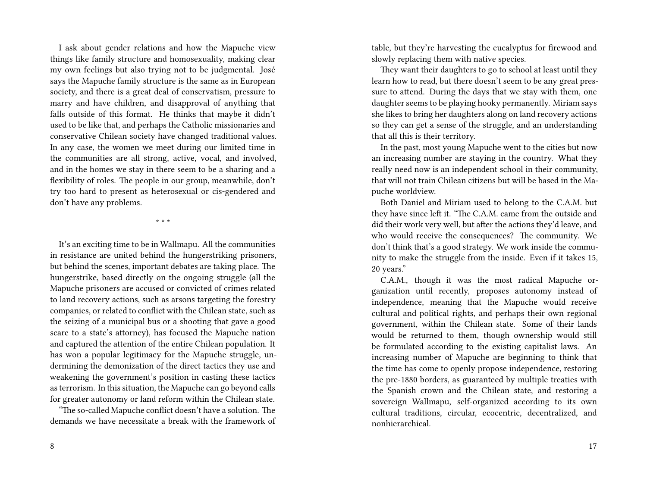I ask about gender relations and how the Mapuche view things like family structure and homosexuality, making clear my own feelings but also trying not to be judgmental. José says the Mapuche family structure is the same as in European society, and there is a great deal of conservatism, pressure to marry and have children, and disapproval of anything that falls outside of this format. He thinks that maybe it didn't used to be like that, and perhaps the Catholic missionaries and conservative Chilean society have changed traditional values. In any case, the women we meet during our limited time in the communities are all strong, active, vocal, and involved, and in the homes we stay in there seem to be a sharing and a flexibility of roles. The people in our group, meanwhile, don't try too hard to present as heterosexual or cis-gendered and don't have any problems.

\* \* \*

It's an exciting time to be in Wallmapu. All the communities in resistance are united behind the hungerstriking prisoners, but behind the scenes, important debates are taking place. The hungerstrike, based directly on the ongoing struggle (all the Mapuche prisoners are accused or convicted of crimes related to land recovery actions, such as arsons targeting the forestry companies, or related to conflict with the Chilean state, such as the seizing of a municipal bus or a shooting that gave a good scare to a state's attorney), has focused the Mapuche nation and captured the attention of the entire Chilean population. It has won a popular legitimacy for the Mapuche struggle, undermining the demonization of the direct tactics they use and weakening the government's position in casting these tactics as terrorism. In this situation, the Mapuche can go beyond calls for greater autonomy or land reform within the Chilean state.

"The so-called Mapuche conflict doesn't have a solution. The demands we have necessitate a break with the framework of table, but they're harvesting the eucalyptus for firewood and slowly replacing them with native species.

They want their daughters to go to school at least until they learn how to read, but there doesn't seem to be any great pressure to attend. During the days that we stay with them, one daughter seems to be playing hooky permanently. Miriam says she likes to bring her daughters along on land recovery actions so they can get a sense of the struggle, and an understanding that all this is their territory.

In the past, most young Mapuche went to the cities but now an increasing number are staying in the country. What they really need now is an independent school in their community, that will not train Chilean citizens but will be based in the Mapuche worldview.

Both Daniel and Miriam used to belong to the C.A.M. but they have since left it. "The C.A.M. came from the outside and did their work very well, but after the actions they'd leave, and who would receive the consequences? The community. We don't think that's a good strategy. We work inside the community to make the struggle from the inside. Even if it takes 15, 20 years."

C.A.M., though it was the most radical Mapuche organization until recently, proposes autonomy instead of independence, meaning that the Mapuche would receive cultural and political rights, and perhaps their own regional government, within the Chilean state. Some of their lands would be returned to them, though ownership would still be formulated according to the existing capitalist laws. An increasing number of Mapuche are beginning to think that the time has come to openly propose independence, restoring the pre-1880 borders, as guaranteed by multiple treaties with the Spanish crown and the Chilean state, and restoring a sovereign Wallmapu, self-organized according to its own cultural traditions, circular, ecocentric, decentralized, and nonhierarchical.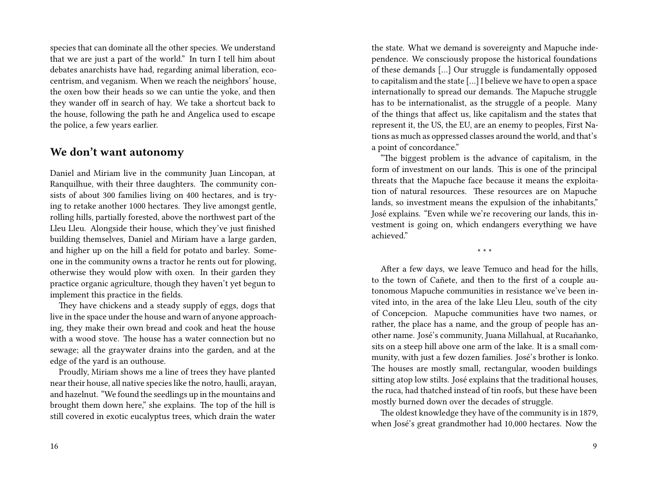species that can dominate all the other species. We understand that we are just a part of the world." In turn I tell him about debates anarchists have had, regarding animal liberation, ecocentrism, and veganism. When we reach the neighbors' house, the oxen bow their heads so we can untie the yoke, and then they wander off in search of hay. We take a shortcut back to the house, following the path he and Angelica used to escape the police, a few years earlier.

#### **We don't want autonomy**

Daniel and Miriam live in the community Juan Lincopan, at Ranquilhue, with their three daughters. The community consists of about 300 families living on 400 hectares, and is trying to retake another 1000 hectares. They live amongst gentle, rolling hills, partially forested, above the northwest part of the Lleu Lleu. Alongside their house, which they've just finished building themselves, Daniel and Miriam have a large garden, and higher up on the hill a field for potato and barley. Someone in the community owns a tractor he rents out for plowing, otherwise they would plow with oxen. In their garden they practice organic agriculture, though they haven't yet begun to implement this practice in the fields.

They have chickens and a steady supply of eggs, dogs that live in the space under the house and warn of anyone approaching, they make their own bread and cook and heat the house with a wood stove. The house has a water connection but no sewage; all the graywater drains into the garden, and at the edge of the yard is an outhouse.

Proudly, Miriam shows me a line of trees they have planted near their house, all native species like the notro, haulli, arayan, and hazelnut. "We found the seedlings up in the mountains and brought them down here," she explains. The top of the hill is still covered in exotic eucalyptus trees, which drain the water the state. What we demand is sovereignty and Mapuche independence. We consciously propose the historical foundations of these demands […] Our struggle is fundamentally opposed to capitalism and the state […] I believe we have to open a space internationally to spread our demands. The Mapuche struggle has to be internationalist, as the struggle of a people. Many of the things that affect us, like capitalism and the states that represent it, the US, the EU, are an enemy to peoples, First Nations as much as oppressed classes around the world, and that's a point of concordance."

"The biggest problem is the advance of capitalism, in the form of investment on our lands. This is one of the principal threats that the Mapuche face because it means the exploitation of natural resources. These resources are on Mapuche lands, so investment means the expulsion of the inhabitants," José explains. "Even while we're recovering our lands, this investment is going on, which endangers everything we have achieved."

\* \* \*

After a few days, we leave Temuco and head for the hills, to the town of Cañete, and then to the first of a couple autonomous Mapuche communities in resistance we've been invited into, in the area of the lake Lleu Lleu, south of the city of Concepcion. Mapuche communities have two names, or rather, the place has a name, and the group of people has another name. José's community, Juana Millahual, at Rucañanko, sits on a steep hill above one arm of the lake. It is a small community, with just a few dozen families. José's brother is lonko. The houses are mostly small, rectangular, wooden buildings sitting atop low stilts. José explains that the traditional houses, the ruca, had thatched instead of tin roofs, but these have been mostly burned down over the decades of struggle.

The oldest knowledge they have of the community is in 1879, when José's great grandmother had 10,000 hectares. Now the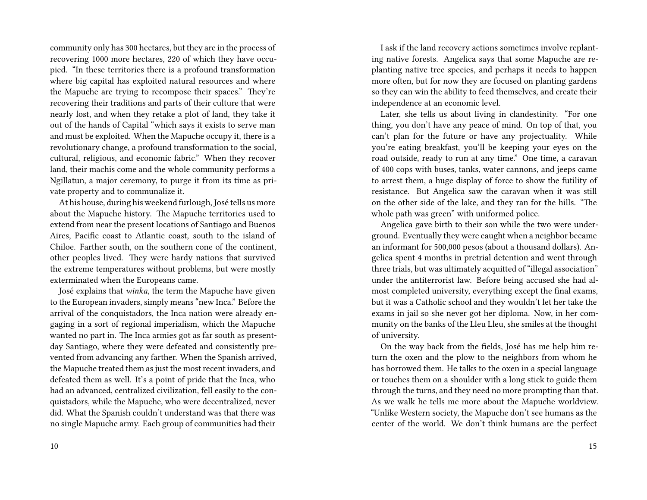community only has 300 hectares, but they are in the process of recovering 1000 more hectares, 220 of which they have occupied. "In these territories there is a profound transformation where big capital has exploited natural resources and where the Mapuche are trying to recompose their spaces." They're recovering their traditions and parts of their culture that were nearly lost, and when they retake a plot of land, they take it out of the hands of Capital "which says it exists to serve man and must be exploited. When the Mapuche occupy it, there is a revolutionary change, a profound transformation to the social, cultural, religious, and economic fabric." When they recover land, their machis come and the whole community performs a Ngillatun, a major ceremony, to purge it from its time as private property and to communalize it.

At his house, during his weekend furlough, José tells us more about the Mapuche history. The Mapuche territories used to extend from near the present locations of Santiago and Buenos Aires, Pacific coast to Atlantic coast, south to the island of Chiloe. Farther south, on the southern cone of the continent, other peoples lived. They were hardy nations that survived the extreme temperatures without problems, but were mostly exterminated when the Europeans came.

José explains that *winka*, the term the Mapuche have given to the European invaders, simply means "new Inca." Before the arrival of the conquistadors, the Inca nation were already engaging in a sort of regional imperialism, which the Mapuche wanted no part in. The Inca armies got as far south as presentday Santiago, where they were defeated and consistently prevented from advancing any farther. When the Spanish arrived, the Mapuche treated them as just the most recent invaders, and defeated them as well. It's a point of pride that the Inca, who had an advanced, centralized civilization, fell easily to the conquistadors, while the Mapuche, who were decentralized, never did. What the Spanish couldn't understand was that there was no single Mapuche army. Each group of communities had their

I ask if the land recovery actions sometimes involve replanting native forests. Angelica says that some Mapuche are replanting native tree species, and perhaps it needs to happen more often, but for now they are focused on planting gardens so they can win the ability to feed themselves, and create their independence at an economic level.

Later, she tells us about living in clandestinity. "For one thing, you don't have any peace of mind. On top of that, you can't plan for the future or have any projectuality. While you're eating breakfast, you'll be keeping your eyes on the road outside, ready to run at any time." One time, a caravan of 400 cops with buses, tanks, water cannons, and jeeps came to arrest them, a huge display of force to show the futility of resistance. But Angelica saw the caravan when it was still on the other side of the lake, and they ran for the hills. "The whole path was green" with uniformed police.

Angelica gave birth to their son while the two were underground. Eventually they were caught when a neighbor became an informant for 500,000 pesos (about a thousand dollars). Angelica spent 4 months in pretrial detention and went through three trials, but was ultimately acquitted of "illegal association" under the antiterrorist law. Before being accused she had almost completed university, everything except the final exams, but it was a Catholic school and they wouldn't let her take the exams in jail so she never got her diploma. Now, in her community on the banks of the Lleu Lleu, she smiles at the thought of university.

On the way back from the fields, José has me help him return the oxen and the plow to the neighbors from whom he has borrowed them. He talks to the oxen in a special language or touches them on a shoulder with a long stick to guide them through the turns, and they need no more prompting than that. As we walk he tells me more about the Mapuche worldview. "Unlike Western society, the Mapuche don't see humans as the center of the world. We don't think humans are the perfect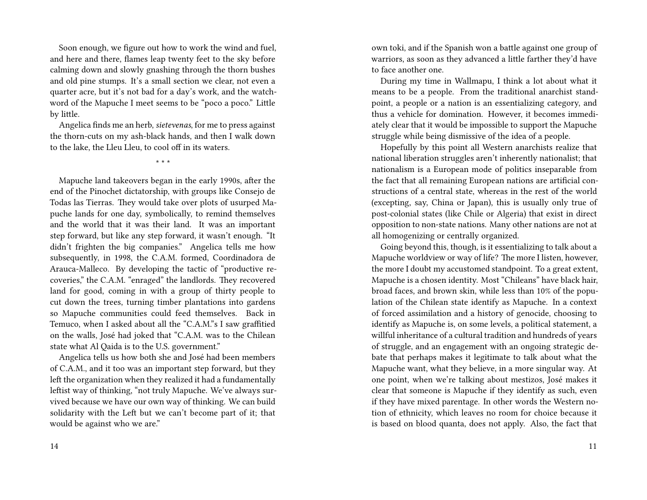Soon enough, we figure out how to work the wind and fuel, and here and there, flames leap twenty feet to the sky before calming down and slowly gnashing through the thorn bushes and old pine stumps. It's a small section we clear, not even a quarter acre, but it's not bad for a day's work, and the watchword of the Mapuche I meet seems to be "poco a poco." Little by little.

Angelica finds me an herb, *sietevenas*, for me to press against the thorn-cuts on my ash-black hands, and then I walk down to the lake, the Lleu Lleu, to cool off in its waters.

\* \* \*

Mapuche land takeovers began in the early 1990s, after the end of the Pinochet dictatorship, with groups like Consejo de Todas las Tierras. They would take over plots of usurped Mapuche lands for one day, symbolically, to remind themselves and the world that it was their land. It was an important step forward, but like any step forward, it wasn't enough. "It didn't frighten the big companies." Angelica tells me how subsequently, in 1998, the C.A.M. formed, Coordinadora de Arauca-Malleco. By developing the tactic of "productive recoveries," the C.A.M. "enraged" the landlords. They recovered land for good, coming in with a group of thirty people to cut down the trees, turning timber plantations into gardens so Mapuche communities could feed themselves. Back in Temuco, when I asked about all the "C.A.M."s I saw graffitied on the walls, José had joked that "C.A.M. was to the Chilean state what Al Qaida is to the U.S. government."

Angelica tells us how both she and José had been members of C.A.M., and it too was an important step forward, but they left the organization when they realized it had a fundamentally leftist way of thinking, "not truly Mapuche. We've always survived because we have our own way of thinking. We can build solidarity with the Left but we can't become part of it; that would be against who we are."

own toki, and if the Spanish won a battle against one group of warriors, as soon as they advanced a little farther they'd have to face another one.

During my time in Wallmapu, I think a lot about what it means to be a people. From the traditional anarchist standpoint, a people or a nation is an essentializing category, and thus a vehicle for domination. However, it becomes immediately clear that it would be impossible to support the Mapuche struggle while being dismissive of the idea of a people.

Hopefully by this point all Western anarchists realize that national liberation struggles aren't inherently nationalist; that nationalism is a European mode of politics inseparable from the fact that all remaining European nations are artificial constructions of a central state, whereas in the rest of the world (excepting, say, China or Japan), this is usually only true of post-colonial states (like Chile or Algeria) that exist in direct opposition to non-state nations. Many other nations are not at all homogenizing or centrally organized.

Going beyond this, though, is it essentializing to talk about a Mapuche worldview or way of life? The more I listen, however, the more I doubt my accustomed standpoint. To a great extent, Mapuche is a chosen identity. Most "Chileans" have black hair, broad faces, and brown skin, while less than 10% of the population of the Chilean state identify as Mapuche. In a context of forced assimilation and a history of genocide, choosing to identify as Mapuche is, on some levels, a political statement, a willful inheritance of a cultural tradition and hundreds of years of struggle, and an engagement with an ongoing strategic debate that perhaps makes it legitimate to talk about what the Mapuche want, what they believe, in a more singular way. At one point, when we're talking about mestizos, José makes it clear that someone is Mapuche if they identify as such, even if they have mixed parentage. In other words the Western notion of ethnicity, which leaves no room for choice because it is based on blood quanta, does not apply. Also, the fact that